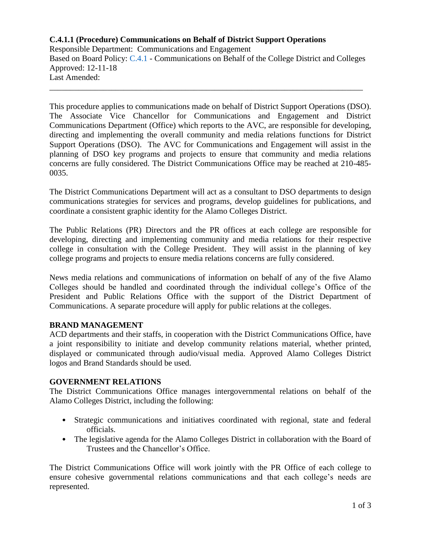# **C.4.1.1 (Procedure) Communications on Behalf of District Support Operations**

Responsible Department: Communications and Engagement Based on Board Policy: [C.4.1](https://www.alamo.edu/siteassets/district/about-us/leadership/board-of-trustees/policies-pdfs/section-c/c.4.1-policy.pdf) - Communications on Behalf of the College District and Colleges Approved: 12-11-18 Last Amended:

\_\_\_\_\_\_\_\_\_\_\_\_\_\_\_\_\_\_\_\_\_\_\_\_\_\_\_\_\_\_\_\_\_\_\_\_\_\_\_\_\_\_\_\_\_\_\_\_\_\_\_\_\_\_\_\_\_\_\_\_\_\_\_\_\_\_\_\_\_\_\_\_\_\_\_\_

This procedure applies to communications made on behalf of District Support Operations (DSO). The Associate Vice Chancellor for Communications and Engagement and District Communications Department (Office) which reports to the AVC, are responsible for developing, directing and implementing the overall community and media relations functions for District Support Operations (DSO). The AVC for Communications and Engagement will assist in the planning of DSO key programs and projects to ensure that community and media relations concerns are fully considered. The District Communications Office may be reached at 210-485- 0035.

The District Communications Department will act as a consultant to DSO departments to design communications strategies for services and programs, develop guidelines for publications, and coordinate a consistent graphic identity for the Alamo Colleges District.

The Public Relations (PR) Directors and the PR offices at each college are responsible for developing, directing and implementing community and media relations for their respective college in consultation with the College President. They will assist in the planning of key college programs and projects to ensure media relations concerns are fully considered.

News media relations and communications of information on behalf of any of the five Alamo Colleges should be handled and coordinated through the individual college's Office of the President and Public Relations Office with the support of the District Department of Communications. A separate procedure will apply for public relations at the colleges.

## **BRAND MANAGEMENT**

ACD departments and their staffs, in cooperation with the District Communications Office, have a joint responsibility to initiate and develop community relations material, whether printed, displayed or communicated through audio/visual media. Approved Alamo Colleges District logos and Brand Standards should be used.

## **GOVERNMENT RELATIONS**

The District Communications Office manages intergovernmental relations on behalf of the Alamo Colleges District, including the following:

- Strategic communications and initiatives coordinated with regional, state and federal officials.
- The legislative agenda for the Alamo Colleges District in collaboration with the Board of Trustees and the Chancellor's Office.

The District Communications Office will work jointly with the PR Office of each college to ensure cohesive governmental relations communications and that each college's needs are represented.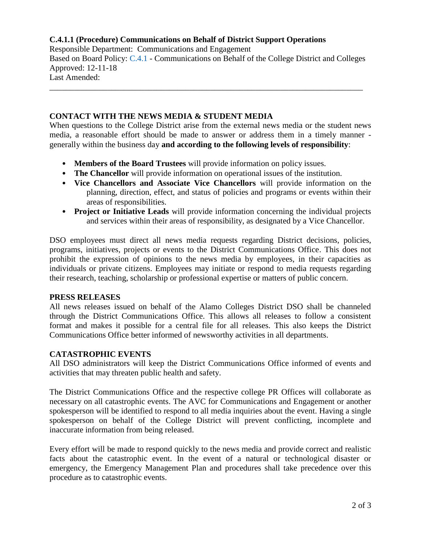# **C.4.1.1 (Procedure) Communications on Behalf of District Support Operations**

Responsible Department: Communications and Engagement Based on Board Policy: [C.4.1](https://www.alamo.edu/siteassets/district/about-us/leadership/board-of-trustees/policies-pdfs/section-c/c.4.1-policy.pdf) - Communications on Behalf of the College District and Colleges Approved: 12-11-18 Last Amended:

\_\_\_\_\_\_\_\_\_\_\_\_\_\_\_\_\_\_\_\_\_\_\_\_\_\_\_\_\_\_\_\_\_\_\_\_\_\_\_\_\_\_\_\_\_\_\_\_\_\_\_\_\_\_\_\_\_\_\_\_\_\_\_\_\_\_\_\_\_\_\_\_\_\_\_\_

## **CONTACT WITH THE NEWS MEDIA & STUDENT MEDIA**

When questions to the College District arise from the external news media or the student news media, a reasonable effort should be made to answer or address them in a timely manner generally within the business day **and according to the following levels of responsibility**:

- **Members of the Board Trustees** will provide information on policy issues.
- **The Chancellor** will provide information on operational issues of the institution.
- **Vice Chancellors and Associate Vice Chancellors** will provide information on the planning, direction, effect, and status of policies and programs or events within their areas of responsibilities.
- **Project or Initiative Leads** will provide information concerning the individual projects and services within their areas of responsibility, as designated by a Vice Chancellor.

DSO employees must direct all news media requests regarding District decisions, policies, programs, initiatives, projects or events to the District Communications Office. This does not prohibit the expression of opinions to the news media by employees, in their capacities as individuals or private citizens. Employees may initiate or respond to media requests regarding their research, teaching, scholarship or professional expertise or matters of public concern.

## **PRESS RELEASES**

All news releases issued on behalf of the Alamo Colleges District DSO shall be channeled through the District Communications Office. This allows all releases to follow a consistent format and makes it possible for a central file for all releases. This also keeps the District Communications Office better informed of newsworthy activities in all departments.

## **CATASTROPHIC EVENTS**

All DSO administrators will keep the District Communications Office informed of events and activities that may threaten public health and safety.

The District Communications Office and the respective college PR Offices will collaborate as necessary on all catastrophic events. The AVC for Communications and Engagement or another spokesperson will be identified to respond to all media inquiries about the event. Having a single spokesperson on behalf of the College District will prevent conflicting, incomplete and inaccurate information from being released.

Every effort will be made to respond quickly to the news media and provide correct and realistic facts about the catastrophic event. In the event of a natural or technological disaster or emergency, the Emergency Management Plan and procedures shall take precedence over this procedure as to catastrophic events.